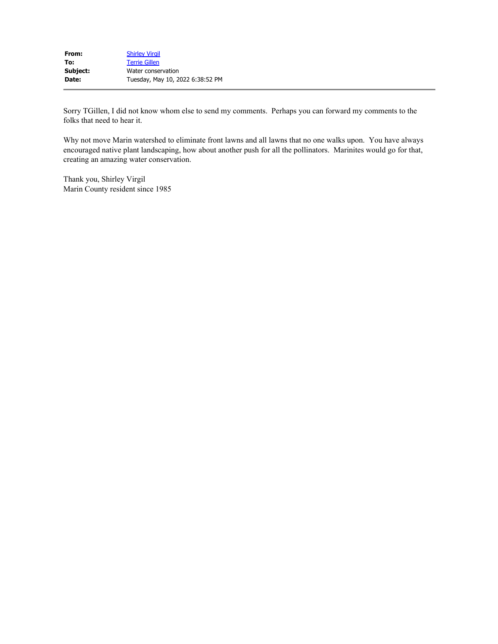| From:    | <b>Shirley Virgil</b>            |
|----------|----------------------------------|
| To:      | <b>Terrie Gillen</b>             |
| Subject: | Water conservation               |
| Date:    | Tuesday, May 10, 2022 6:38:52 PM |

Sorry TGillen, I did not know whom else to send my comments. Perhaps you can forward my comments to the folks that need to hear it.

Why not move Marin watershed to eliminate front lawns and all lawns that no one walks upon. You have always encouraged native plant landscaping, how about another push for all the pollinators. Marinites would go for that, creating an amazing water conservation.

Thank you, Shirley Virgil Marin County resident since 1985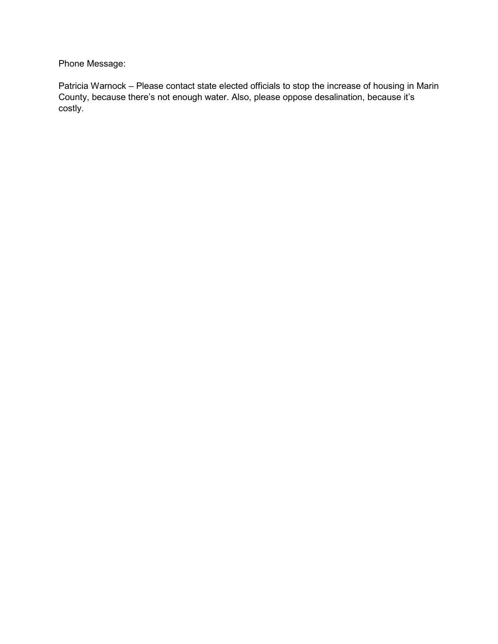Phone Message:

Patricia Warnock – Please contact state elected officials to stop the increase of housing in Marin County, because there's not enough water. Also, please oppose desalination, because it's costly.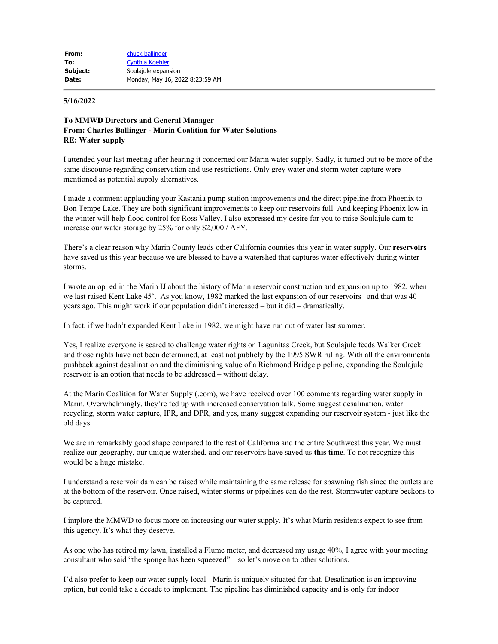## **5/16/2022**

## **To MMWD Directors and General Manager From: Charles Ballinger - Marin Coalition for Water Solutions RE: Water supply**

I attended your last meeting after hearing it concerned our Marin water supply. Sadly, it turned out to be more of the same discourse regarding conservation and use restrictions. Only grey water and storm water capture were mentioned as potential supply alternatives.

I made a comment applauding your Kastania pump station improvements and the direct pipeline from Phoenix to Bon Tempe Lake. They are both significant improvements to keep our reservoirs full. And keeping Phoenix low in the winter will help flood control for Ross Valley. I also expressed my desire for you to raise Soulajule dam to increase our water storage by 25% for only \$2,000./ AFY.

There's a clear reason why Marin County leads other California counties this year in water supply. Our **reservoirs** have saved us this year because we are blessed to have a watershed that captures water effectively during winter storms.

I wrote an op–ed in the Marin IJ about the history of Marin reservoir construction and expansion up to 1982, when we last raised Kent Lake 45'. As you know, 1982 marked the last expansion of our reservoirs– and that was 40 years ago. This might work if our population didn't increased – but it did – dramatically.

In fact, if we hadn't expanded Kent Lake in 1982, we might have run out of water last summer.

Yes, I realize everyone is scared to challenge water rights on Lagunitas Creek, but Soulajule feeds Walker Creek and those rights have not been determined, at least not publicly by the 1995 SWR ruling. With all the environmental pushback against desalination and the diminishing value of a Richmond Bridge pipeline, expanding the Soulajule reservoir is an option that needs to be addressed – without delay.

At the Marin Coalition for Water Supply (.com), we have received over 100 comments regarding water supply in Marin. Overwhelmingly, they're fed up with increased conservation talk. Some suggest desalination, water recycling, storm water capture, IPR, and DPR, and yes, many suggest expanding our reservoir system - just like the old days.

We are in remarkably good shape compared to the rest of California and the entire Southwest this year. We must realize our geography, our unique watershed, and our reservoirs have saved us **this time**. To not recognize this would be a huge mistake.

I understand a reservoir dam can be raised while maintaining the same release for spawning fish since the outlets are at the bottom of the reservoir. Once raised, winter storms or pipelines can do the rest. Stormwater capture beckons to be captured.

I implore the MMWD to focus more on increasing our water supply. It's what Marin residents expect to see from this agency. It's what they deserve.

As one who has retired my lawn, installed a Flume meter, and decreased my usage 40%, I agree with your meeting consultant who said "the sponge has been squeezed" – so let's move on to other solutions.

I'd also prefer to keep our water supply local - Marin is uniquely situated for that. Desalination is an improving option, but could take a decade to implement. The pipeline has diminished capacity and is only for indoor